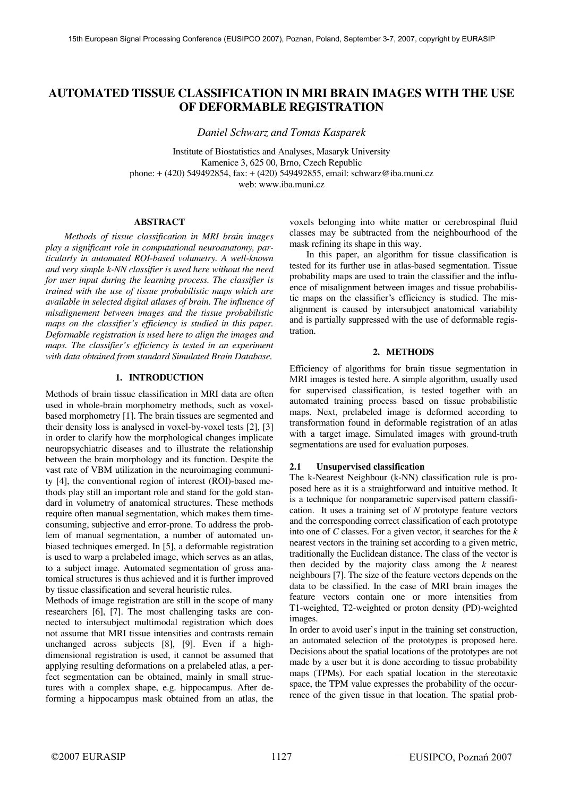# **AUTOMATED TISSUE CLASSIFICATION IN MRI BRAIN IMAGES WITH THE USE OF DEFORMABLE REGISTRATION**

*Daniel Schwarz and Tomas Kasparek* 

Institute of Biostatistics and Analyses, Masaryk University Kamenice 3, 625 00, Brno, Czech Republic phone: + (420) 549492854, fax: + (420) 549492855, email: schwarz@iba.muni.cz web: www.iba.muni.cz

### **ABSTRACT**

*Methods of tissue classification in MRI brain images play a significant role in computational neuroanatomy, particularly in automated ROI-based volumetry. A well-known and very simple k-NN classifier is used here without the need for user input during the learning process. The classifier is trained with the use of tissue probabilistic maps which are available in selected digital atlases of brain. The influence of misalignement between images and the tissue probabilistic maps on the classifier's efficiency is studied in this paper. Deformable registration is used here to align the images and maps. The classifier's efficiency is tested in an experiment with data obtained from standard Simulated Brain Database.* 

# **1. INTRODUCTION**

Methods of brain tissue classification in MRI data are often used in whole-brain morphometry methods, such as voxelbased morphometry [1]. The brain tissues are segmented and their density loss is analysed in voxel-by-voxel tests [2], [3] in order to clarify how the morphological changes implicate neuropsychiatric diseases and to illustrate the relationship between the brain morphology and its function. Despite the vast rate of VBM utilization in the neuroimaging community [4], the conventional region of interest (ROI)-based methods play still an important role and stand for the gold standard in volumetry of anatomical structures. These methods require often manual segmentation, which makes them timeconsuming, subjective and error-prone. To address the problem of manual segmentation, a number of automated unbiased techniques emerged. In [5], a deformable registration is used to warp a prelabeled image, which serves as an atlas, to a subject image. Automated segmentation of gross anatomical structures is thus achieved and it is further improved by tissue classification and several heuristic rules.

Methods of image registration are still in the scope of many researchers [6], [7]. The most challenging tasks are connected to intersubject multimodal registration which does not assume that MRI tissue intensities and contrasts remain unchanged across subjects [8], [9]. Even if a highdimensional registration is used, it cannot be assumed that applying resulting deformations on a prelabeled atlas, a perfect segmentation can be obtained, mainly in small structures with a complex shape, e.g. hippocampus. After deforming a hippocampus mask obtained from an atlas, the

voxels belonging into white matter or cerebrospinal fluid classes may be subtracted from the neighbourhood of the mask refining its shape in this way.

In this paper, an algorithm for tissue classification is tested for its further use in atlas-based segmentation. Tissue probability maps are used to train the classifier and the influence of misalignment between images and tissue probabilistic maps on the classifier's efficiency is studied. The misalignment is caused by intersubject anatomical variability and is partially suppressed with the use of deformable registration.

## **2. METHODS**

Efficiency of algorithms for brain tissue segmentation in MRI images is tested here. A simple algorithm, usually used for supervised classification, is tested together with an automated training process based on tissue probabilistic maps. Next, prelabeled image is deformed according to transformation found in deformable registration of an atlas with a target image. Simulated images with ground-truth segmentations are used for evaluation purposes.

## **2.1 Unsupervised classification**

The k-Nearest Neighbour (k-NN) classification rule is proposed here as it is a straightforward and intuitive method. It is a technique for nonparametric supervised pattern classification. It uses a training set of *N* prototype feature vectors and the corresponding correct classification of each prototype into one of *C* classes. For a given vector, it searches for the *k* nearest vectors in the training set according to a given metric, traditionally the Euclidean distance. The class of the vector is then decided by the majority class among the *k* nearest neighbours [7]. The size of the feature vectors depends on the data to be classified. In the case of MRI brain images the feature vectors contain one or more intensities from T1-weighted, T2-weighted or proton density (PD)-weighted images.

In order to avoid user's input in the training set construction, an automated selection of the prototypes is proposed here. Decisions about the spatial locations of the prototypes are not made by a user but it is done according to tissue probability maps (TPMs). For each spatial location in the stereotaxic space, the TPM value expresses the probability of the occurrence of the given tissue in that location. The spatial prob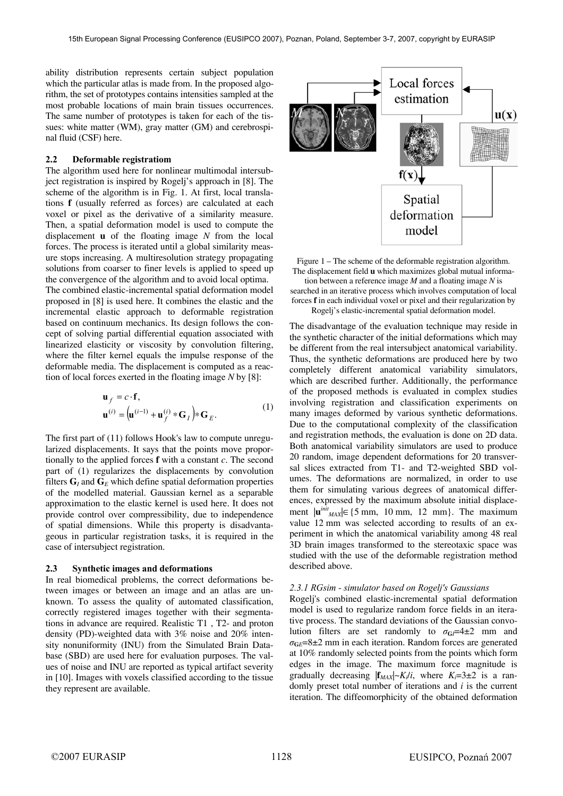ability distribution represents certain subject population which the particular atlas is made from. In the proposed algorithm, the set of prototypes contains intensities sampled at the most probable locations of main brain tissues occurrences. The same number of prototypes is taken for each of the tissues: white matter (WM), gray matter (GM) and cerebrospinal fluid (CSF) here.

# **2.2 Deformable registratiom**

The algorithm used here for nonlinear multimodal intersubject registration is inspired by Rogelj's approach in [8]. The scheme of the algorithm is in Fig. 1. At first, local translations **f** (usually referred as forces) are calculated at each voxel or pixel as the derivative of a similarity measure. Then, a spatial deformation model is used to compute the displacement **u** of the floating image *N* from the local forces. The process is iterated until a global similarity measure stops increasing. A multiresolution strategy propagating solutions from coarser to finer levels is applied to speed up the convergence of the algorithm and to avoid local optima. The combined elastic-incremental spatial deformation model proposed in [8] is used here. It combines the elastic and the incremental elastic approach to deformable registration based on continuum mechanics. Its design follows the concept of solving partial differential equation associated with linearized elasticity or viscosity by convolution filtering, where the filter kernel equals the impulse response of the deformable media. The displacement is computed as a reaction of local forces exerted in the floating image *N* by [8]:

$$
\mathbf{u}_f = c \cdot \mathbf{f},
$$
  

$$
\mathbf{u}^{(i)} = (\mathbf{u}^{(i-1)} + \mathbf{u}^{(i)}_f * \mathbf{G}_I) * \mathbf{G}_E.
$$
 (1)

The first part of (11) follows Hook's law to compute unregularized displacements. It says that the points move proportionally to the applied forces **f** with a constant *c*. The second part of (1) regularizes the displacements by convolution filters  $\mathbf{G}_I$  and  $\mathbf{G}_E$  which define spatial deformation properties of the modelled material. Gaussian kernel as a separable approximation to the elastic kernel is used here. It does not provide control over compressibility, due to independence of spatial dimensions. While this property is disadvantageous in particular registration tasks, it is required in the case of intersubject registration.

#### **2.3 Synthetic images and deformations**

In real biomedical problems, the correct deformations between images or between an image and an atlas are unknown. To assess the quality of automated classification, correctly registered images together with their segmentations in advance are required. Realistic T1 , T2- and proton density (PD)-weighted data with 3% noise and 20% intensity nonuniformity (INU) from the Simulated Brain Database (SBD) are used here for evaluation purposes. The values of noise and INU are reported as typical artifact severity in [10]. Images with voxels classified according to the tissue they represent are available.



Figure 1 – The scheme of the deformable registration algorithm. The displacement field **u** which maximizes global mutual informa-

tion between a reference image *M* and a floating image *N* is searched in an iterative process which involves computation of local forces **f** in each individual voxel or pixel and their regularization by Rogelj's elastic-incremental spatial deformation model.

The disadvantage of the evaluation technique may reside in the synthetic character of the initial deformations which may be different from the real intersubject anatomical variability. Thus, the synthetic deformations are produced here by two completely different anatomical variability simulators, which are described further. Additionally, the performance of the proposed methods is evaluated in complex studies involving registration and classification experiments on many images deformed by various synthetic deformations. Due to the computational complexity of the classification and registration methods, the evaluation is done on 2D data. Both anatomical variability simulators are used to produce 20 random, image dependent deformations for 20 transversal slices extracted from T1- and T2-weighted SBD volumes. The deformations are normalized, in order to use them for simulating various degrees of anatomical differences, expressed by the maximum absolute initial displacement  $|\mathbf{u}^{init}_{MAX}| \in \{5 \text{ mm}, 10 \text{ mm}, 12 \text{ mm}\}.$  The maximum value 12 mm was selected according to results of an experiment in which the anatomical variability among 48 real 3D brain images transformed to the stereotaxic space was studied with the use of the deformable registration method described above.

#### *2.3.1 RGsim - simulator based on Rogelj's Gaussians*

Rogelj's combined elastic-incremental spatial deformation model is used to regularize random force fields in an iterative process. The standard deviations of the Gaussian convolution filters are set randomly to  $\sigma_{GI} = 4 \pm 2$  mm and  $\sigma$ <sub>G</sub> $E$ =8±2 mm in each iteration. Random forces are generated at 10% randomly selected points from the points which form edges in the image. The maximum force magnitude is gradually decreasing  $|f_{MAX}| \sim K_i/i$ , where  $K_i = 3 \pm 2$  is a randomly preset total number of iterations and *i* is the current iteration. The diffeomorphicity of the obtained deformation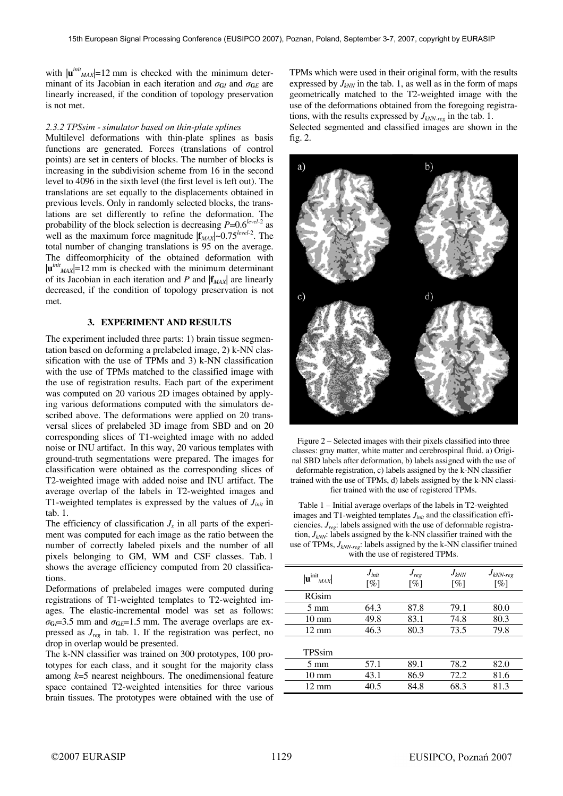with  $|\mathbf{u}^{init}_{MAX}|$ =12 mm is checked with the minimum determinant of its Jacobian in each iteration and  $\sigma_{GI}$  and  $\sigma_{GE}$  are linearly increased, if the condition of topology preservation is not met.

#### *2.3.2 TPSsim - simulator based on thin-plate splines*

Multilevel deformations with thin-plate splines as basis functions are generated. Forces (translations of control points) are set in centers of blocks. The number of blocks is increasing in the subdivision scheme from 16 in the second level to 4096 in the sixth level (the first level is left out). The translations are set equally to the displacements obtained in previous levels. Only in randomly selected blocks, the translations are set differently to refine the deformation. The probability of the block selection is decreasing *P*=0.6*level*-2 as well as the maximum force magnitude  $|{\bf f}_{MAX}|$ ~0.75<sup>*level*-2</sup>. The total number of changing translations is 95 on the average. The diffeomorphicity of the obtained deformation with  $|\mathbf{u}^{init}_{MAX}|$ =12 mm is checked with the minimum determinant of its Jacobian in each iteration and *P* and |**f***MAX*| are linearly decreased, if the condition of topology preservation is not met.

# **3. EXPERIMENT AND RESULTS**

The experiment included three parts: 1) brain tissue segmentation based on deforming a prelabeled image, 2) k-NN classification with the use of TPMs and 3) k-NN classification with the use of TPMs matched to the classified image with the use of registration results. Each part of the experiment was computed on 20 various 2D images obtained by applying various deformations computed with the simulators described above. The deformations were applied on 20 transversal slices of prelabeled 3D image from SBD and on 20 corresponding slices of T1-weighted image with no added noise or INU artifact. In this way, 20 various templates with ground-truth segmentations were prepared. The images for classification were obtained as the corresponding slices of T2-weighted image with added noise and INU artifact. The average overlap of the labels in T2-weighted images and T1-weighted templates is expressed by the values of *Jinit* in tab. 1.

The efficiency of classification  $J<sub>x</sub>$  in all parts of the experiment was computed for each image as the ratio between the number of correctly labeled pixels and the number of all pixels belonging to GM, WM and CSF classes. Tab. 1 shows the average efficiency computed from 20 classifications.

Deformations of prelabeled images were computed during registrations of T1-weighted templates to T2-weighted images. The elastic-incremental model was set as follows:  $\sigma$ <sub>G</sub> $=$ 3.5 mm and  $\sigma$ <sub>G $E$ </sub> $=$ 1.5 mm. The average overlaps are expressed as *Jreg* in tab. 1. If the registration was perfect, no drop in overlap would be presented.

The k-NN classifier was trained on 300 prototypes, 100 prototypes for each class, and it sought for the majority class among *k*=5 nearest neighbours. The onedimensional feature space contained T2-weighted intensities for three various brain tissues. The prototypes were obtained with the use of TPMs which were used in their original form, with the results expressed by  $J_{kNN}$  in the tab. 1, as well as in the form of maps geometrically matched to the T2-weighted image with the use of the deformations obtained from the foregoing registrations, with the results expressed by  $J_{kNN-reg}$  in the tab. 1.

Selected segmented and classified images are shown in the fig. 2.



Figure 2 – Selected images with their pixels classified into three classes: gray matter, white matter and cerebrospinal fluid. a) Original SBD labels after deformation, b) labels assigned with the use of deformable registration, c) labels assigned by the k-NN classifier trained with the use of TPMs, d) labels assigned by the k-NN classifier trained with the use of registered TPMs.

Table 1 – Initial average overlaps of the labels in T2-weighted images and T1-weighted templates  $J<sub>init</sub>$  and the classification efficiencies. *Jreg*: labels assigned with the use of deformable registration,  $J_{kNN}$ : labels assigned by the k-NN classifier trained with the use of TPMs, *JkNN-reg*: labels assigned by the k-NN classifier trained with the use of registered TPMs.

| $J_{\text{init}}$<br>[%] | $J_{reg}$<br>$\lceil \% \rceil$ | $J_{kNN}$<br>[%] | $J_{kNN-reg}$<br>$\lceil \% \rceil$ |
|--------------------------|---------------------------------|------------------|-------------------------------------|
|                          |                                 |                  |                                     |
| 64.3                     | 87.8                            | 79.1             | 80.0                                |
| 49.8                     | 83.1                            | 74.8             | 80.3                                |
| 46.3                     | 80.3                            | 73.5             | 79.8                                |
|                          |                                 |                  |                                     |
| 57.1                     | 89.1                            | 78.2             | 82.0                                |
| 43.1                     | 86.9                            | 72.2             | 81.6                                |
| 40.5                     | 84.8                            | 68.3             | 81.3                                |
|                          |                                 |                  |                                     |